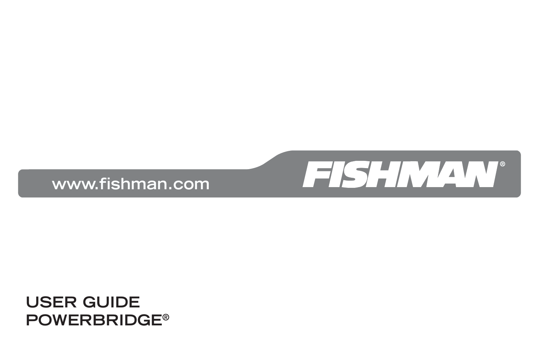#### **USER GUIDE POWERBRIDGE®**

#### **www.fishman.com**

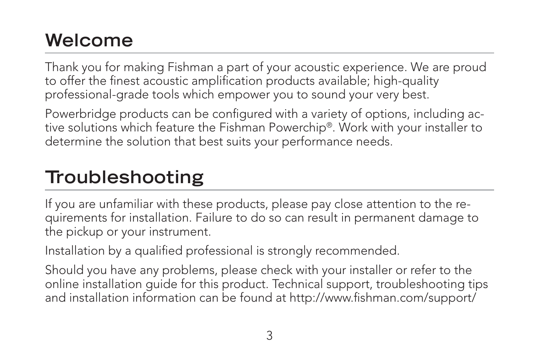# **Welcome**

Thank you for making Fishman a part of your acoustic experience. We are proud to offer the finest acoustic amplification products available; high-quality professional-grade tools which empower you to sound your very best.

Powerbridge products can be configured with a variety of options, including active solutions which feature the Fishman Powerchip®. Work with your installer to determine the solution that best suits your performance needs.

## **Troubleshooting**

If you are unfamiliar with these products, please pay close attention to the requirements for installation. Failure to do so can result in permanent damage to the pickup or your instrument.

Installation by a qualified professional is strongly recommended.

Should you have any problems, please check with your installer or refer to the online installation guide for this product. Technical support, troubleshooting tips and installation information can be found at http://www.fishman.com/support/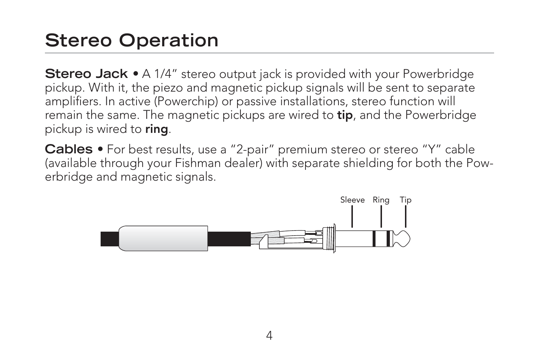## **Stereo Operation**

**Stereo Jack •** A 1/4" stereo output jack is provided with your Powerbridge pickup. With it, the piezo and magnetic pickup signals will be sent to separate amplifiers. In active (Powerchip) or passive installations, stereo function will remain the same. The magnetic pickups are wired to **tip**, and the Powerbridge pickup is wired to **ring**.

**Cables •** For best results, use a "2-pair" premium stereo or stereo "Y" cable (available through your Fishman dealer) with separate shielding for both the Powerbridge and magnetic signals.

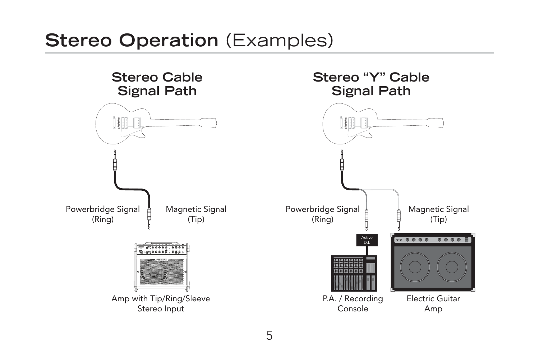#### **Stereo Operation** (Examples)

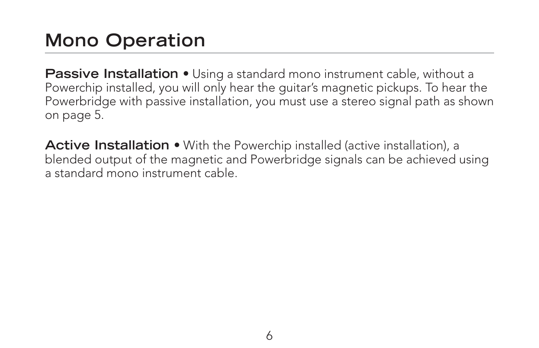## **Mono Operation**

**Passive Installation •** Using a standard mono instrument cable, without a Powerchip installed, you will only hear the guitar's magnetic pickups. To hear the Powerbridge with passive installation, you must use a stereo signal path as shown on page 5.

**Active Installation •** With the Powerchip installed (active installation), a blended output of the magnetic and Powerbridge signals can be achieved using a standard mono instrument cable.